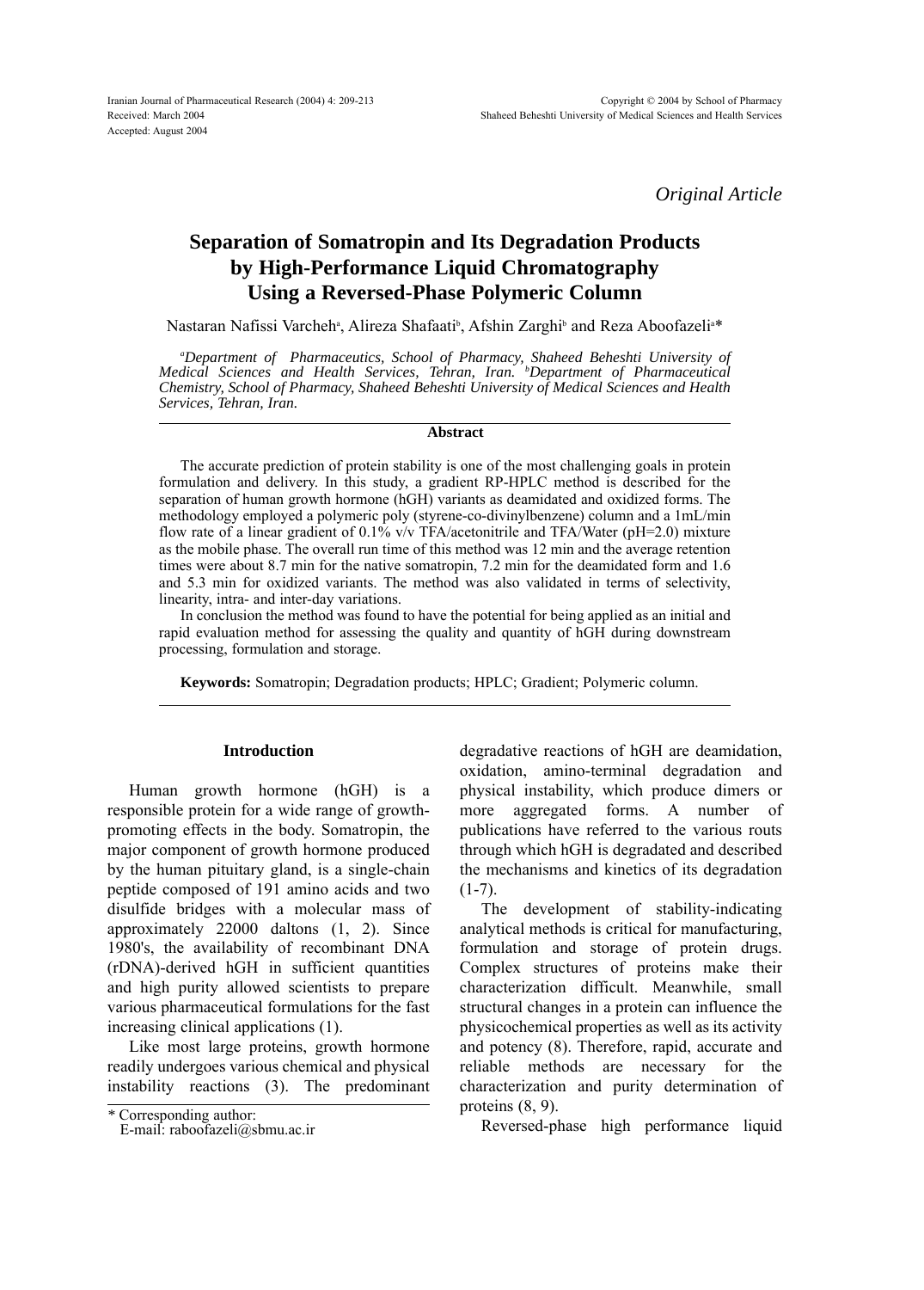*Original Article*

# **Separation of Somatropin and Its Degradation Products by High-Performance Liquid Chromatography Using a Reversed-Phase Polymeric Column**

Nastaran Nafissi Varcheh<sup>a</sup>, Alireza Shafaati<sup>b</sup>, Afshin Zarghi<sup>b</sup> and Reza Aboofazeli<sup>a</sup>\*

*a Department of Pharmaceutics, School of Pharmacy, Shaheed Beheshti University of Medical Sciences and Health Services, Tehran, Iran. b Department of Pharmaceutical Chemistry, School of Pharmacy, Shaheed Beheshti University of Medical Sciences and Health Services, Tehran, Iran.*

#### **Abstract**

The accurate prediction of protein stability is one of the most challenging goals in protein formulation and delivery. In this study, a gradient RP-HPLC method is described for the separation of human growth hormone (hGH) variants as deamidated and oxidized forms. The methodology employed a polymeric poly (styrene-co-divinylbenzene) column and a 1mL/min flow rate of a linear gradient of 0.1% v/v TFA/acetonitrile and TFA/Water (pH=2.0) mixture as the mobile phase. The overall run time of this method was 12 min and the average retention times were about 8.7 min for the native somatropin, 7.2 min for the deamidated form and 1.6 and 5.3 min for oxidized variants. The method was also validated in terms of selectivity, linearity, intra- and inter-day variations.

In conclusion the method was found to have the potential for being applied as an initial and rapid evaluation method for assessing the quality and quantity of hGH during downstream processing, formulation and storage.

**Keywords:** Somatropin; Degradation products; HPLC; Gradient; Polymeric column.

## **Introduction**

Human growth hormone (hGH) is a responsible protein for a wide range of growthpromoting effects in the body. Somatropin, the major component of growth hormone produced by the human pituitary gland, is a single-chain peptide composed of 191 amino acids and two disulfide bridges with a molecular mass of approximately 22000 daltons (1, 2). Since 1980's, the availability of recombinant DNA (rDNA)-derived hGH in sufficient quantities and high purity allowed scientists to prepare various pharmaceutical formulations for the fast increasing clinical applications (1).

Like most large proteins, growth hormone readily undergoes various chemical and physical instability reactions (3). The predominant degradative reactions of hGH are deamidation, oxidation, amino-terminal degradation and physical instability, which produce dimers or more aggregated forms. A number of publications have referred to the various routs through which hGH is degradated and described the mechanisms and kinetics of its degradation  $(1-7)$ .

The development of stability-indicating analytical methods is critical for manufacturing, formulation and storage of protein drugs. Complex structures of proteins make their characterization difficult. Meanwhile, small structural changes in a protein can influence the physicochemical properties as well as its activity and potency (8). Therefore, rapid, accurate and reliable methods are necessary for the characterization and purity determination of proteins (8, 9).

Reversed-phase high performance liquid

*<sup>\*</sup>* Corresponding author:

E-mail: raboofazeli@sbmu.ac.ir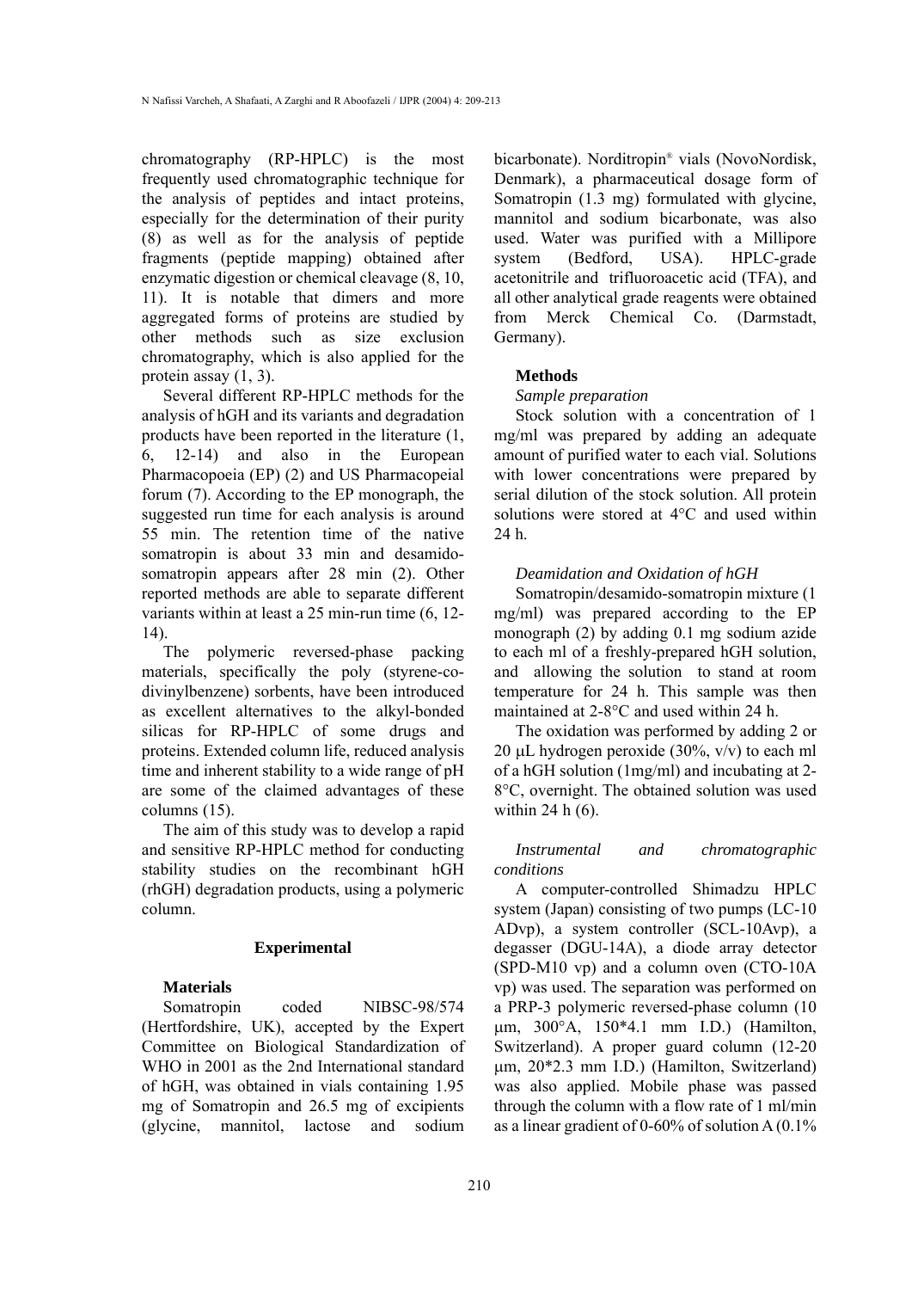chromatography (RP-HPLC) is the most frequently used chromatographic technique for the analysis of peptides and intact proteins, especially for the determination of their purity (8) as well as for the analysis of peptide fragments (peptide mapping) obtained after enzymatic digestion or chemical cleavage (8, 10, 11). It is notable that dimers and more aggregated forms of proteins are studied by other methods such as size exclusion chromatography, which is also applied for the protein assay (1, 3).

Several different RP-HPLC methods for the analysis of hGH and its variants and degradation products have been reported in the literature (1, 6, 12-14) and also in the European Pharmacopoeia (EP) (2) and US Pharmacopeial forum (7). According to the EP monograph, the suggested run time for each analysis is around 55 min. The retention time of the native somatropin is about 33 min and desamidosomatropin appears after 28 min (2). Other reported methods are able to separate different variants within at least a 25 min-run time (6, 12- 14).

The polymeric reversed-phase packing materials, specifically the poly (styrene-codivinylbenzene) sorbents, have been introduced as excellent alternatives to the alkyl-bonded silicas for RP-HPLC of some drugs and proteins. Extended column life, reduced analysis time and inherent stability to a wide range of pH are some of the claimed advantages of these columns (15).

The aim of this study was to develop a rapid and sensitive RP-HPLC method for conducting stability studies on the recombinant hGH (rhGH) degradation products, using a polymeric column.

#### **Experimental**

#### **Materials**

Somatropin coded NIBSC-98/574 (Hertfordshire, UK), accepted by the Expert Committee on Biological Standardization of WHO in 2001 as the 2nd International standard of hGH, was obtained in vials containing 1.95 mg of Somatropin and 26.5 mg of excipients (glycine, mannitol, lactose and sodium bicarbonate). Norditropin<sup>®</sup> vials (NovoNordisk, Denmark), a pharmaceutical dosage form of Somatropin (1.3 mg) formulated with glycine, mannitol and sodium bicarbonate, was also used. Water was purified with a Millipore system (Bedford, USA). HPLC-grade acetonitrile and trifluoroacetic acid (TFA), and all other analytical grade reagents were obtained from Merck Chemical Co. (Darmstadt, Germany).

#### **Methods**

#### *Sample preparation*

Stock solution with a concentration of 1 mg/ml was prepared by adding an adequate amount of purified water to each vial. Solutions with lower concentrations were prepared by serial dilution of the stock solution. All protein solutions were stored at 4°C and used within 24 h.

#### *Deamidation and Oxidation of hGH*

Somatropin/desamido-somatropin mixture (1 mg/ml) was prepared according to the EP monograph (2) by adding 0.1 mg sodium azide to each ml of a freshly-prepared hGH solution, and allowing the solution to stand at room temperature for 24 h. This sample was then maintained at 2-8°C and used within 24 h.

The oxidation was performed by adding 2 or 20 µL hydrogen peroxide (30%,  $v/v$ ) to each ml of a hGH solution (1mg/ml) and incubating at 2- 8°C, overnight. The obtained solution was used within 24 h (6).

*Instrumental and chromatographic conditions*

A computer-controlled Shimadzu HPLC system (Japan) consisting of two pumps (LC-10 ADvp), a system controller (SCL-10Avp), a degasser (DGU-14A), a diode array detector (SPD-M10 vp) and a column oven (CTO-10A vp) was used. The separation was performed on a PRP-3 polymeric reversed-phase column (10 mm, 300°A, 150\*4.1 mm I.D.) (Hamilton, Switzerland). A proper guard column (12-20 mm, 20\*2.3 mm I.D.) (Hamilton, Switzerland) was also applied. Mobile phase was passed through the column with a flow rate of 1 ml/min as a linear gradient of 0-60% of solution A (0.1%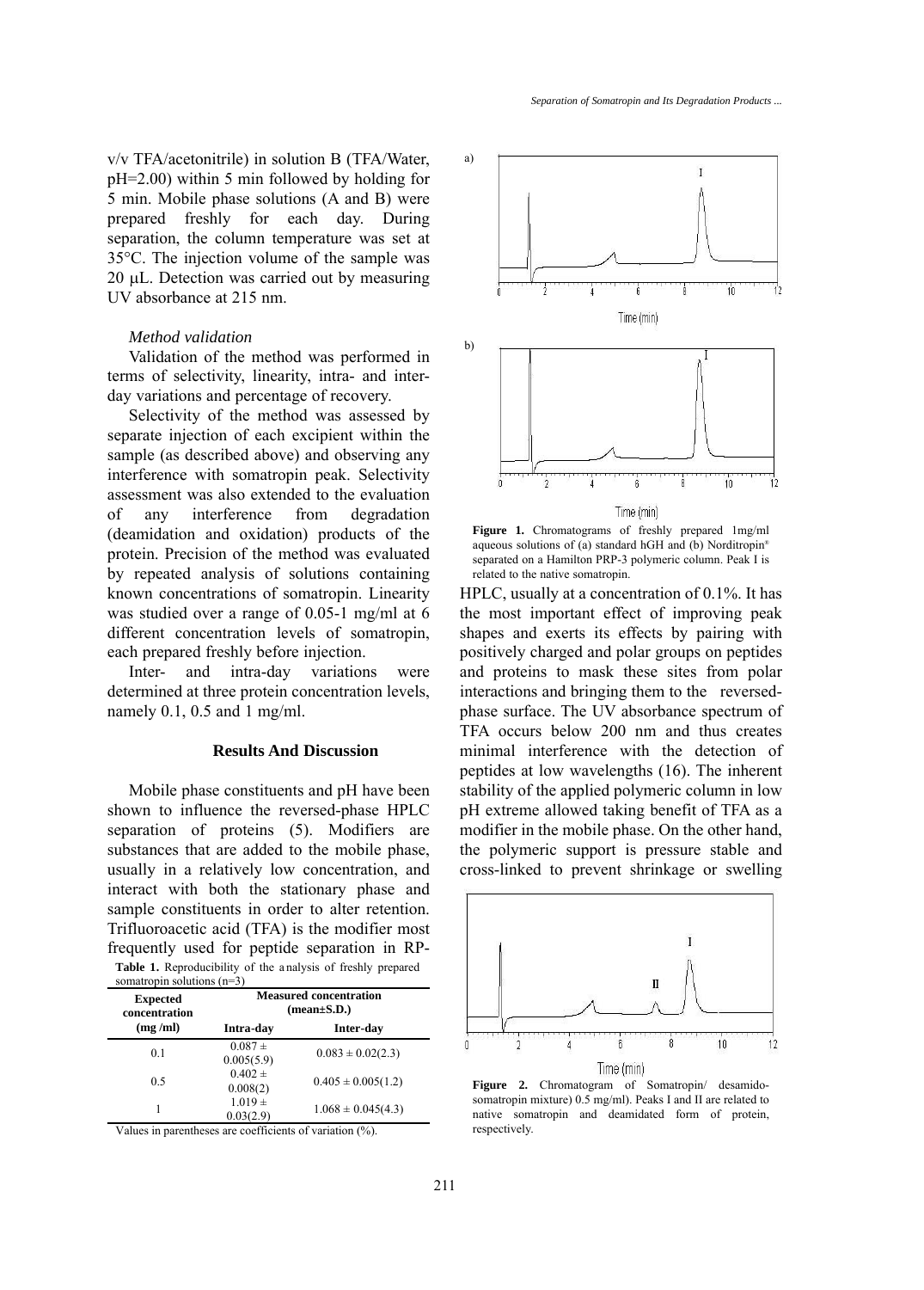v/v TFA/acetonitrile) in solution B (TFA/Water, pH=2.00) within 5 min followed by holding for 5 min. Mobile phase solutions (A and B) were prepared freshly for each day. During separation, the column temperature was set at 35°C. The injection volume of the sample was 20 µL. Detection was carried out by measuring UV absorbance at 215 nm.

### *Method validation*

Validation of the method was performed in terms of selectivity, linearity, intra- and interday variations and percentage of recovery.

Selectivity of the method was assessed by separate injection of each excipient within the sample (as described above) and observing any interference with somatropin peak. Selectivity assessment was also extended to the evaluation of any interference from degradation (deamidation and oxidation) products of the protein. Precision of the method was evaluated by repeated analysis of solutions containing known concentrations of somatropin. Linearity was studied over a range of 0.05-1 mg/ml at 6 different concentration levels of somatropin, each prepared freshly before injection.

Inter- and intra-day variations were determined at three protein concentration levels, namely 0.1, 0.5 and 1 mg/ml.

## **Results And Discussion**

Mobile phase constituents and pH have been shown to influence the reversed-phase HPLC separation of proteins (5). Modifiers are substances that are added to the mobile phase, usually in a relatively low concentration, and interact with both the stationary phase and sample constituents in order to alter retention. Trifluoroacetic acid (TFA) is the modifier most frequently used for peptide separation in RP-**Table 1.** Reproducibility of the a nalysis of freshly prepared

| <b>Expected</b><br>concentration | <b>Measured concentration</b><br>$(mean \pm S.D.)$ |                        |
|----------------------------------|----------------------------------------------------|------------------------|
| (mg/ml)                          | Intra-day                                          | Inter-day              |
| 0.1                              | $0.087 +$<br>0.005(5.9)                            | $0.083 \pm 0.02(2.3)$  |
| 0.5                              | $0.402 \pm$<br>0.008(2)                            | $0.405 \pm 0.005(1.2)$ |
|                                  | $1.019 \pm$<br>0.03(2.9)                           | $1.068 \pm 0.045(4.3)$ |

Values in parentheses are coefficients of variation (%).



**Figure 1.** Chromatograms of freshly prepared 1mg/ml aqueous solutions of (a) standard hGH and (b) Norditropin<sup>®</sup> separated on a Hamilton PRP-3 polymeric column. Peak I is related to the native somatropin.

HPLC, usually at a concentration of 0.1%. It has the most important effect of improving peak shapes and exerts its effects by pairing with positively charged and polar groups on peptides and proteins to mask these sites from polar interactions and bringing them to the reversedphase surface. The UV absorbance spectrum of TFA occurs below 200 nm and thus creates minimal interference with the detection of peptides at low wavelengths (16). The inherent stability of the applied polymeric column in low pH extreme allowed taking benefit of TFA as a modifier in the mobile phase. On the other hand, the polymeric support is pressure stable and cross-linked to prevent shrinkage or swelling



**Figure 2.** Chromatogram of Somatropin/ desamidosomatropin mixture) 0.5 mg/ml). Peaks I and II are related to native somatropin and deamidated form of protein, respectively.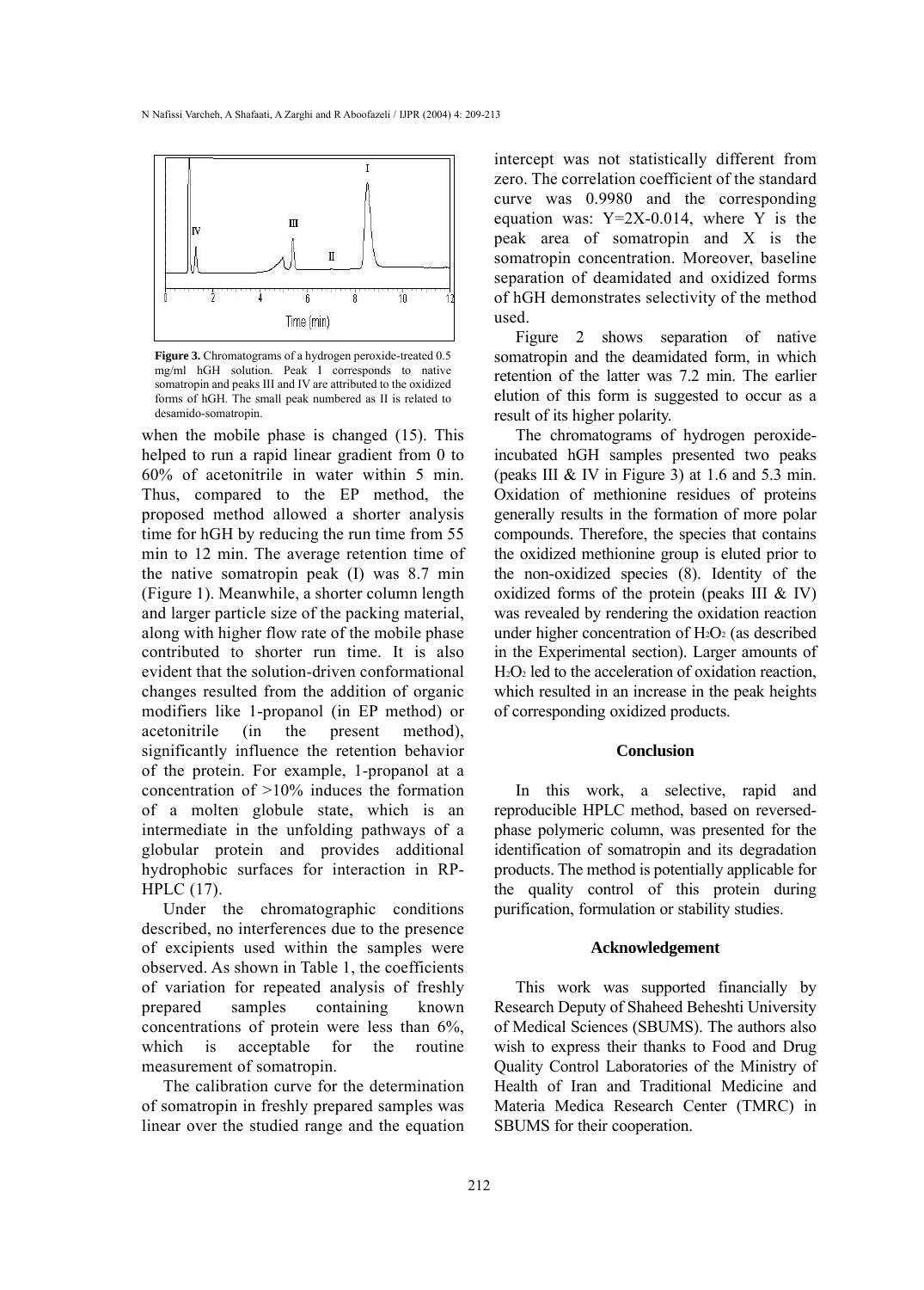

**Figure 3.** Chromatograms of a hydrogen peroxide-treated 0.5 mg/ml hGH solution. Peak I corresponds to native somatropin and peaks III and IV are attributed to the oxidized forms of hGH. The small peak numbered as II is related to desamido-somatropin.

when the mobile phase is changed (15). This helped to run a rapid linear gradient from 0 to 60% of acetonitrile in water within 5 min. Thus, compared to the EP method, the proposed method allowed a shorter analysis time for hGH by reducing the run time from 55 min to 12 min. The average retention time of the native somatropin peak (I) was 8.7 min (Figure 1). Meanwhile, a shorter column length and larger particle size of the packing material, along with higher flow rate of the mobile phase contributed to shorter run time. It is also evident that the solution-driven conformational changes resulted from the addition of organic modifiers like 1-propanol (in EP method) or acetonitrile (in the present method), significantly influence the retention behavior of the protein. For example, 1-propanol at a concentration of >10% induces the formation of a molten globule state, which is an intermediate in the unfolding pathways of a globular protein and provides additional hydrophobic surfaces for interaction in RP-HPLC (17).

Under the chromatographic conditions described, no interferences due to the presence of excipients used within the samples were observed. As shown in Table 1, the coefficients of variation for repeated analysis of freshly prepared samples containing known concentrations of protein were less than 6%, which is acceptable for the routine measurement of somatropin.

The calibration curve for the determination of somatropin in freshly prepared samples was linear over the studied range and the equation intercept was not statistically different from zero. The correlation coefficient of the standard curve was 0.9980 and the corresponding equation was:  $Y=2X-0.014$ , where Y is the peak area of somatropin and X is the somatropin concentration. Moreover, baseline separation of deamidated and oxidized forms of hGH demonstrates selectivity of the method used.

Figure 2 shows separation of native somatropin and the deamidated form, in which retention of the latter was 7.2 min. The earlier elution of this form is suggested to occur as a result of its higher polarity.

The chromatograms of hydrogen peroxideincubated hGH samples presented two peaks (peaks III  $&$  IV in Figure 3) at 1.6 and 5.3 min. Oxidation of methionine residues of proteins generally results in the formation of more polar compounds. Therefore, the species that contains the oxidized methionine group is eluted prior to the non-oxidized species (8). Identity of the oxidized forms of the protein (peaks III  $&$  IV) was revealed by rendering the oxidation reaction under higher concentration of  $H_2O_2$  (as described in the Experimental section). Larger amounts of H<sub>2</sub>O<sub>2</sub> led to the acceleration of oxidation reaction, which resulted in an increase in the peak heights of corresponding oxidized products.

#### **Conclusion**

In this work, a selective, rapid and reproducible HPLC method, based on reversedphase polymeric column, was presented for the identification of somatropin and its degradation products. The method is potentially applicable for the quality control of this protein during purification, formulation or stability studies.

#### **Acknowledgement**

This work was supported financially by Research Deputy of Shaheed Beheshti University of Medical Sciences (SBUMS). The authors also wish to express their thanks to Food and Drug Quality Control Laboratories of the Ministry of Health of Iran and Traditional Medicine and Materia Medica Research Center (TMRC) in SBUMS for their cooperation.